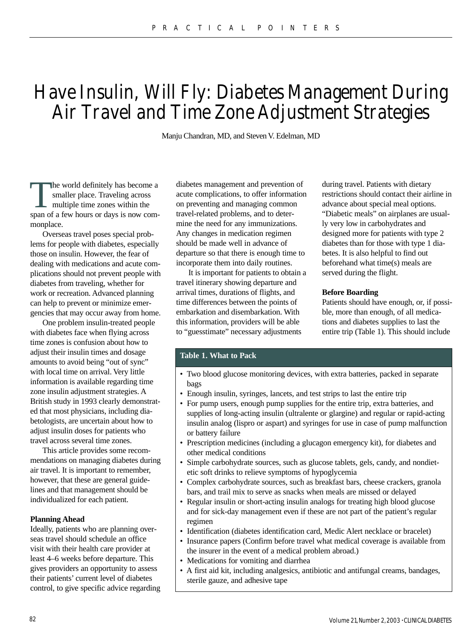# Have Insulin, Will Fly: Diabetes Management During Air Travel and Time Zone Adjustment Strategies

Manju Chandran, MD, and Steven V. Edelman, MD

The world definitely has become a<br>smaller place. Traveling across<br>multiple time zones within the<br>span of a few hours or days is now comsmaller place. Traveling across multiple time zones within the span of a few hours or days is now commonplace.

Overseas travel poses special problems for people with diabetes, especially those on insulin. However, the fear of dealing with medications and acute complications should not prevent people with diabetes from traveling, whether for work or recreation. Advanced planning can help to prevent or minimize emergencies that may occur away from home.

One problem insulin-treated people with diabetes face when flying across time zones is confusion about how to adjust their insulin times and dosage amounts to avoid being "out of sync" with local time on arrival. Very little information is available regarding time zone insulin adjustment strategies. A British study in 1993 clearly demonstrated that most physicians, including diabetologists, are uncertain about how to adjust insulin doses for patients who travel across several time zones.

This article provides some recommendations on managing diabetes during air travel. It is important to remember, however, that these are general guidelines and that management should be individualized for each patient.

## **Planning Ahead**

Ideally, patients who are planning overseas travel should schedule an office visit with their health care provider at least 4–6 weeks before departure. This gives providers an opportunity to assess their patients' current level of diabetes control, to give specific advice regarding diabetes management and prevention of acute complications, to offer information on preventing and managing common travel-related problems, and to determine the need for any immunizations. Any changes in medication regimen should be made well in advance of departure so that there is enough time to incorporate them into daily routines.

It is important for patients to obtain a travel itinerary showing departure and arrival times, durations of flights, and time differences between the points of embarkation and disembarkation. With this information, providers will be able to "guesstimate" necessary adjustments

during travel. Patients with dietary restrictions should contact their airline in advance about special meal options. "Diabetic meals" on airplanes are usually very low in carbohydrates and designed more for patients with type 2 diabetes than for those with type 1 diabetes. It is also helpful to find out beforehand what time(s) meals are served during the flight.

#### **Before Boarding**

Patients should have enough, or, if possible, more than enough, of all medications and diabetes supplies to last the entire trip (Table 1). This should include

#### **Table 1. What to Pack**

- Two blood glucose monitoring devices, with extra batteries, packed in separate bags
- Enough insulin, syringes, lancets, and test strips to last the entire trip
- For pump users, enough pump supplies for the entire trip, extra batteries, and supplies of long-acting insulin (ultralente or glargine) and regular or rapid-acting insulin analog (lispro or aspart) and syringes for use in case of pump malfunction or battery failure
- Prescription medicines (including a glucagon emergency kit), for diabetes and other medical conditions
- Simple carbohydrate sources, such as glucose tablets, gels, candy, and nondietetic soft drinks to relieve symptoms of hypoglycemia
- Complex carbohydrate sources, such as breakfast bars, cheese crackers, granola bars, and trail mix to serve as snacks when meals are missed or delayed
- Regular insulin or short-acting insulin analogs for treating high blood glucose and for sick-day management even if these are not part of the patient's regular regimen
- Identification (diabetes identification card, Medic Alert necklace or bracelet)
- Insurance papers (Confirm before travel what medical coverage is available from the insurer in the event of a medical problem abroad.)
- Medications for vomiting and diarrhea
- A first aid kit, including analgesics, antibiotic and antifungal creams, bandages, sterile gauze, and adhesive tape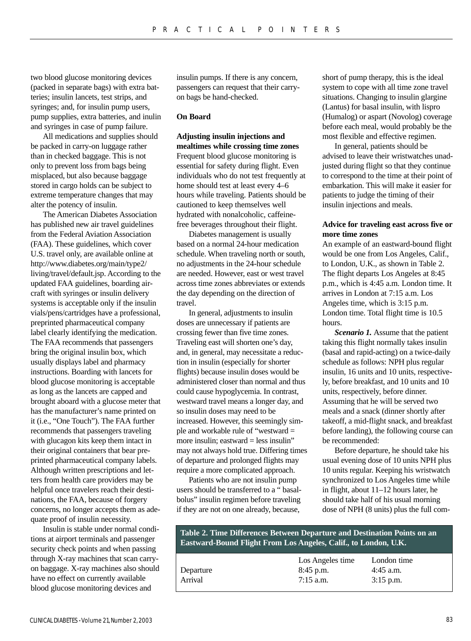two blood glucose monitoring devices (packed in separate bags) with extra batteries; insulin lancets, test strips, and syringes; and, for insulin pump users, pump supplies, extra batteries, and inulin and syringes in case of pump failure.

All medications and supplies should be packed in carry-on luggage rather than in checked baggage. This is not only to prevent loss from bags being misplaced, but also because baggage stored in cargo holds can be subject to extreme temperature changes that may alter the potency of insulin.

The American Diabetes Association has published new air travel guidelines from the Federal Aviation Association (FAA). These guidelines, which cover U.S. travel only, are available online at http://www.diabetes.org/main/type2/ living/travel/default.jsp. According to the updated FAA guidelines, boarding aircraft with syringes or insulin delivery systems is acceptable only if the insulin vials/pens/cartridges have a professional, preprinted pharmaceutical company label clearly identifying the medication. The FAA recommends that passengers bring the original insulin box, which usually displays label and pharmacy instructions. Boarding with lancets for blood glucose monitoring is acceptable as long as the lancets are capped and brought aboard with a glucose meter that has the manufacturer's name printed on it (i.e., "One Touch"). The FAA further recommends that passengers traveling with glucagon kits keep them intact in their original containers that bear preprinted pharmaceutical company labels. Although written prescriptions and letters from health care providers may be helpful once travelers reach their destinations, the FAA, because of forgery concerns, no longer accepts them as adequate proof of insulin necessity.

Insulin is stable under normal conditions at airport terminals and passenger security check points and when passing through X-ray machines that scan carryon baggage. X-ray machines also should have no effect on currently available blood glucose monitoring devices and

insulin pumps. If there is any concern, passengers can request that their carryon bags be hand-checked.

## **On Board**

**Adjusting insulin injections and mealtimes while crossing time zones**  Frequent blood glucose monitoring is essential for safety during flight. Even individuals who do not test frequently at home should test at least every 4–6 hours while traveling. Patients should be cautioned to keep themselves well hydrated with nonalcoholic, caffeinefree beverages throughout their flight.

Diabetes management is usually based on a normal 24-hour medication schedule. When traveling north or south, no adjustments in the 24-hour schedule are needed. However, east or west travel across time zones abbreviates or extends the day depending on the direction of travel.

In general, adjustments to insulin doses are unnecessary if patients are crossing fewer than five time zones. Traveling east will shorten one's day, and, in general, may necessitate a reduction in insulin (especially for shorter flights) because insulin doses would be administered closer than normal and thus could cause hypoglycemia. In contrast, westward travel means a longer day, and so insulin doses may need to be increased. However, this seemingly simple and workable rule of "westward = more insulin; eastward  $=$  less insulin" may not always hold true. Differing times of departure and prolonged flights may require a more complicated approach.

Patients who are not insulin pump users should be transferred to a " basalbolus" insulin regimen before traveling if they are not on one already, because,

short of pump therapy, this is the ideal system to cope with all time zone travel situations. Changing to insulin glargine (Lantus) for basal insulin, with lispro (Humalog) or aspart (Novolog) coverage before each meal, would probably be the most flexible and effective regimen.

In general, patients should be advised to leave their wristwatches unadjusted during flight so that they continue to correspond to the time at their point of embarkation. This will make it easier for patients to judge the timing of their insulin injections and meals.

## **Advice for traveling east across five or more time zones**

An example of an eastward-bound flight would be one from Los Angeles, Calif., to London, U.K., as shown in Table 2. The flight departs Los Angeles at 8:45 p.m., which is 4:45 a.m. London time. It arrives in London at 7:15 a.m. Los Angeles time, which is 3:15 p.m. London time. Total flight time is 10.5 hours.

**Scenario 1.** Assume that the patient taking this flight normally takes insulin (basal and rapid-acting) on a twice-daily schedule as follows: NPH plus regular insulin, 16 units and 10 units, respectively, before breakfast, and 10 units and 10 units, respectively, before dinner. Assuming that he will be served two meals and a snack (dinner shortly after takeoff, a mid-flight snack, and breakfast before landing), the following course can be recommended:

Before departure, he should take his usual evening dose of 10 units NPH plus 10 units regular. Keeping his wristwatch synchronized to Los Angeles time while in flight, about 11–12 hours later, he should take half of his usual morning dose of NPH (8 units) plus the full com-

**Table 2. Time Differences Between Departure and Destination Points on an Eastward-Bound Flight From Los Angeles, Calif., to London, U.K.**

|           | Los Angeles time | London time |
|-----------|------------------|-------------|
| Departure | $8:45$ p.m.      | $4:45$ a.m. |
| Arrival   | 7:15 a.m.        | $3:15$ p.m. |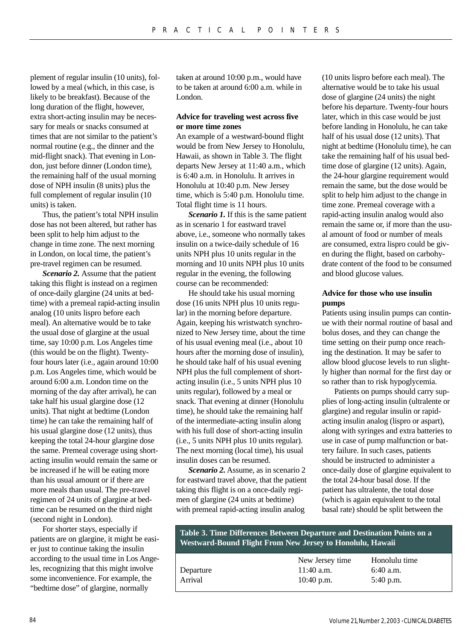plement of regular insulin (10 units), followed by a meal (which, in this case, is likely to be breakfast). Because of the long duration of the flight, however, extra short-acting insulin may be necessary for meals or snacks consumed at times that are not similar to the patient's normal routine (e.g., the dinner and the mid-flight snack). That evening in London, just before dinner (London time), the remaining half of the usual morning dose of NPH insulin (8 units) plus the full complement of regular insulin (10 units) is taken.

Thus, the patient's total NPH insulin dose has not been altered, but rather has been split to help him adjust to the change in time zone. The next morning in London, on local time, the patient's pre-travel regimen can be resumed.

*Scenario 2.* Assume that the patient taking this flight is instead on a regimen of once-daily glargine (24 units at bedtime) with a premeal rapid-acting insulin analog (10 units lispro before each meal). An alternative would be to take the usual dose of glargine at the usual time, say 10:00 p.m. Los Angeles time (this would be on the flight). Twentyfour hours later (i.e., again around 10:00 p.m. Los Angeles time, which would be around 6:00 a.m. London time on the morning of the day after arrival), he can take half his usual glargine dose (12 units). That night at bedtime (London time) he can take the remaining half of his usual glargine dose (12 units), thus keeping the total 24-hour glargine dose the same. Premeal coverage using shortacting insulin would remain the same or be increased if he will be eating more than his usual amount or if there are more meals than usual. The pre-travel regimen of 24 units of glargine at bedtime can be resumed on the third night (second night in London).

For shorter stays, especially if patients are on glargine, it might be easier just to continue taking the insulin according to the usual time in Los Angeles, recognizing that this might involve some inconvenience. For example, the "bedtime dose" of glargine, normally

taken at around 10:00 p.m., would have to be taken at around 6:00 a.m. while in London.

## **Advice for traveling west across five or more time zones**

An example of a westward-bound flight would be from New Jersey to Honolulu, Hawaii, as shown in Table 3. The flight departs New Jersey at 11:40 a.m., which is 6:40 a.m. in Honolulu. It arrives in Honolulu at 10:40 p.m. New Jersey time, which is 5:40 p.m. Honolulu time. Total flight time is 11 hours.

*Scenario 1.* If this is the same patient as in scenario 1 for eastward travel above, i.e., someone who normally takes insulin on a twice-daily schedule of 16 units NPH plus 10 units regular in the morning and 10 units NPH plus 10 units regular in the evening, the following course can be recommended:

He should take his usual morning dose (16 units NPH plus 10 units regular) in the morning before departure. Again, keeping his wristwatch synchronized to New Jersey time, about the time of his usual evening meal (i.e., about 10 hours after the morning dose of insulin), he should take half of his usual evening NPH plus the full complement of shortacting insulin (i.e., 5 units NPH plus 10 units regular), followed by a meal or snack. That evening at dinner (Honolulu time), he should take the remaining half of the intermediate-acting insulin along with his full dose of short-acting insulin (i.e., 5 units NPH plus 10 units regular). The next morning (local time), his usual insulin doses can be resumed.

*Scenario 2.* Assume, as in scenario 2 for eastward travel above, that the patient taking this flight is on a once-daily regimen of glargine (24 units at bedtime) with premeal rapid-acting insulin analog

(10 units lispro before each meal). The alternative would be to take his usual dose of glargine (24 units) the night before his departure. Twenty-four hours later, which in this case would be just before landing in Honolulu, he can take half of his usual dose (12 units). That night at bedtime (Honolulu time), he can take the remaining half of his usual bedtime dose of glargine (12 units). Again, the 24-hour glargine requirement would remain the same, but the dose would be split to help him adjust to the change in time zone. Premeal coverage with a rapid-acting insulin analog would also remain the same or, if more than the usual amount of food or number of meals are consumed, extra lispro could be given during the flight, based on carbohydrate content of the food to be consumed and blood glucose values.

# **Advice for those who use insulin pumps**

Patients using insulin pumps can continue with their normal routine of basal and bolus doses, and they can change the time setting on their pump once reaching the destination. It may be safer to allow blood glucose levels to run slightly higher than normal for the first day or so rather than to risk hypoglycemia.

Patients on pumps should carry supplies of long-acting insulin (ultralente or glargine) and regular insulin or rapidacting insulin analog (lispro or aspart), along with syringes and extra batteries to use in case of pump malfunction or battery failure. In such cases, patients should be instructed to administer a once-daily dose of glargine equivalent to the total 24-hour basal dose. If the patient has ultralente, the total dose (which is again equivalent to the total basal rate) should be split between the

**Table 3. Time Differences Between Departure and Destination Points on a Westward-Bound Flight From New Jersey to Honolulu, Hawaii**

|           | New Jersey time | Honolulu time |
|-----------|-----------------|---------------|
| Departure | $11:40$ a.m.    | $6:40$ a.m.   |
| Arrival   | $10:40$ p.m.    | $5:40$ p.m.   |